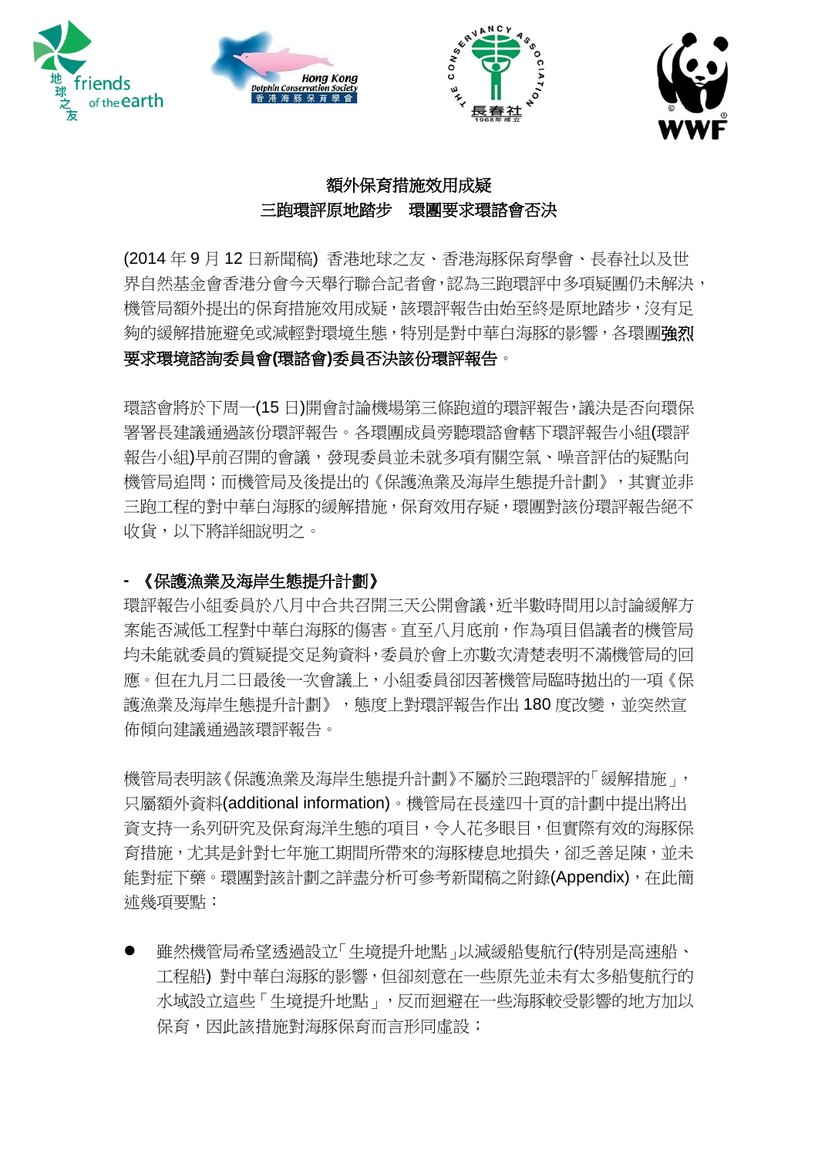







# 額外保育措施效用成疑 三跑環評原地踏步 環團要求環諮會否決

(2014 年 9 月 12 日新聞稿) 香港地球之友、香港海豚保育學會、長春社以及世 界自然基金會香港分會今天舉行聯合記者會,認為三跑環評中多項疑團仍未解決, 機管局額外提出的保育措施效用成疑,該環評報告由始至終是原地踏步,沒有足 细的緩解措施避免或減輕對環境生態,特別是對中華白海豚的影響,各環團強烈 要求環境諮詢委員會**(**環諮會**)**委員否決該份環評報告。

環諮會將於下周一(15 日)開會討論機場第三條跑道的環評報告,議決是否向環保 署署長建議通過該份環評報告。各環團成員旁聽環諮會轄下環評報告小組(環評 報告小組)早前召開的會議,發現委員並未就多項有關空氣、噪音評估的疑點向 機管局追問;而機管局及後提出的《保護漁業及海岸生態提升計劃》,其實並非 三跑工程的對中華白海豚的緩解措施,保育效用存疑,環團對該份環評報告絕不 收貨,以下將詳細說明之。

# **-** 《保護漁業及海岸生態提升計劃》

環評報告小組委員於八月中合共召開三天公開會議,近半數時間用以討論緩解方 案能否減低工程對中華白海豚的傷害。直至八月底前,作為項目倡議者的機管局 均未能就委員的質疑提交足夠資料,委員於會上亦數次清楚表明不滿機管局的回 應。但在九月二日最後一次會議上,小組委員卻因著機管局臨時拋出的一項《保 護漁業及海岸生態提升計劃》,態度上對環評報告作出 180 度改變,並突然宣 佈傾向建議通過該環評報告。

機管局表明該《保護漁業及海岸生態提升計劃》不屬於三跑環評的「緩解措施」, 只屬額外資料(additional information)。機管局在長達四十頁的計劃中提出將出 資支持一系列研究及保育海洋生態的項目,令人花多眼目,但實際有效的海豚保 育措施,尤其是針對七年施工期間所帶來的海豚棲息地損失,卻乏善足陳,並未 能對症下藥。環團對該計劃之詳盡分析可參考新聞稿之附錄(Appendix), 在此簡 述幾項要點︰

 雖然機管局希望透過設立「生境提升地點」以減緩船隻航行(特別是高速船、 工程船) 對中華白海豚的影響,但卻刻意在一些原先並未有太多船隻航行的 水域設立這些「生境提升地點」,反而迴避在一些海豚較受影響的地方加以 保育,因此該措施對海豚保育而言形同虛設;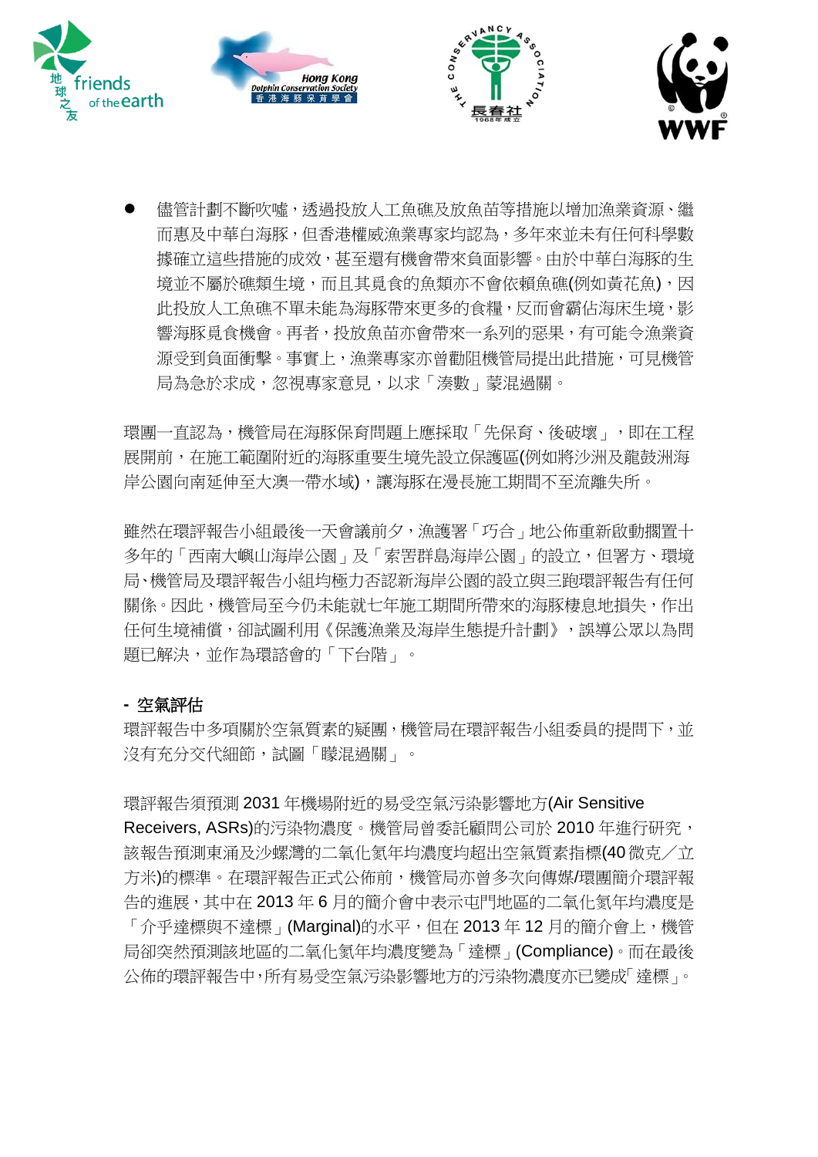



 儘管計劃不斷吹噓,透過投放人工魚礁及放魚苗等措施以增加漁業資源、繼 而惠及中華白海豚,但香港權威漁業專家均認為,多年來並未有任何科學數 據確立這些措施的成效,甚至還有機會帶來負面影響。由於中華白海豚的生 境並不屬於礁類生境,而且其覓食的魚類亦不會依賴魚礁(例如黃花魚),因 此投放人工魚礁不單未能為海豚帶來更多的食糧,反而會霸佔海床生境,影 響海豚覓食機會。再者,投放魚苗亦會帶來一系列的惡果,有可能令漁業資 源受到負面衝擊。事實上,漁業專家亦曾勸阻機管局提出此措施,可見機管 局為急於求成,忽視專家意見,以求「湊數」蒙混過關。

環團一直認為,機管局在海豚保育問題上應採取「先保育、後破壞」,即在工程 展開前,在施工範圍附近的海豚重要生境先設立保護區(例如將沙洲及龍鼓洲海 岸公園向南延伸至大澳一帶水域),讓海豚在漫長施工期間不至流離失所。

雖然在環評報告小組最後一天會議前夕,漁護署「巧合」地公佈重新啟動擱置十 多年的「西南大嶼山海岸公園」及「索罟群島海岸公園」的設立,但署方、環境 局、機管局及環評報告小組均極力否認新海岸公園的設立與三跑環評報告有任何 關係。因此,機管局至今仍未能就七年施工期間所帶來的海豚棲息地損失,作出 任何生境補償,卻試圖利用《保護漁業及海岸生態提升計劃》,誤導公眾以為問 題已解決,並作為環諮會的「下台階」。

#### **-** 空氣評估

環評報告中多項關於空氣質素的疑團,機管局在環評報告小組委員的提問下,並 沒有充分交代細節,試圖「矇混過關」。

環評報告須預測 2031 年機場附近的易受空氣污染影響地方(Air Sensitive Receivers, ASRs)的污染物濃度。機管局曾委託顧問公司於 2010 年進行研究, 該報告預測東涌及沙螺灣的二氧化氮年均濃度均超出空氣質素指標(40微克/立 方米)的標準。在環評報告正式公佈前,機管局亦曾多次向傳媒/環團簡介環評報 告的進展,其中在 2013 年 6 月的簡介會中表示屯門地區的二氧化氮年均濃度是 「介乎達標與不達標」(Marginal)的水平,但在 2013年12月的簡介會上,機管 局卻突然預測該地區的二氧化氮年均濃度變為「達標」(Compliance)。而在最後 公佈的環評報告中,所有易受空氣污染影響地方的污染物濃度亦已變成「達標」。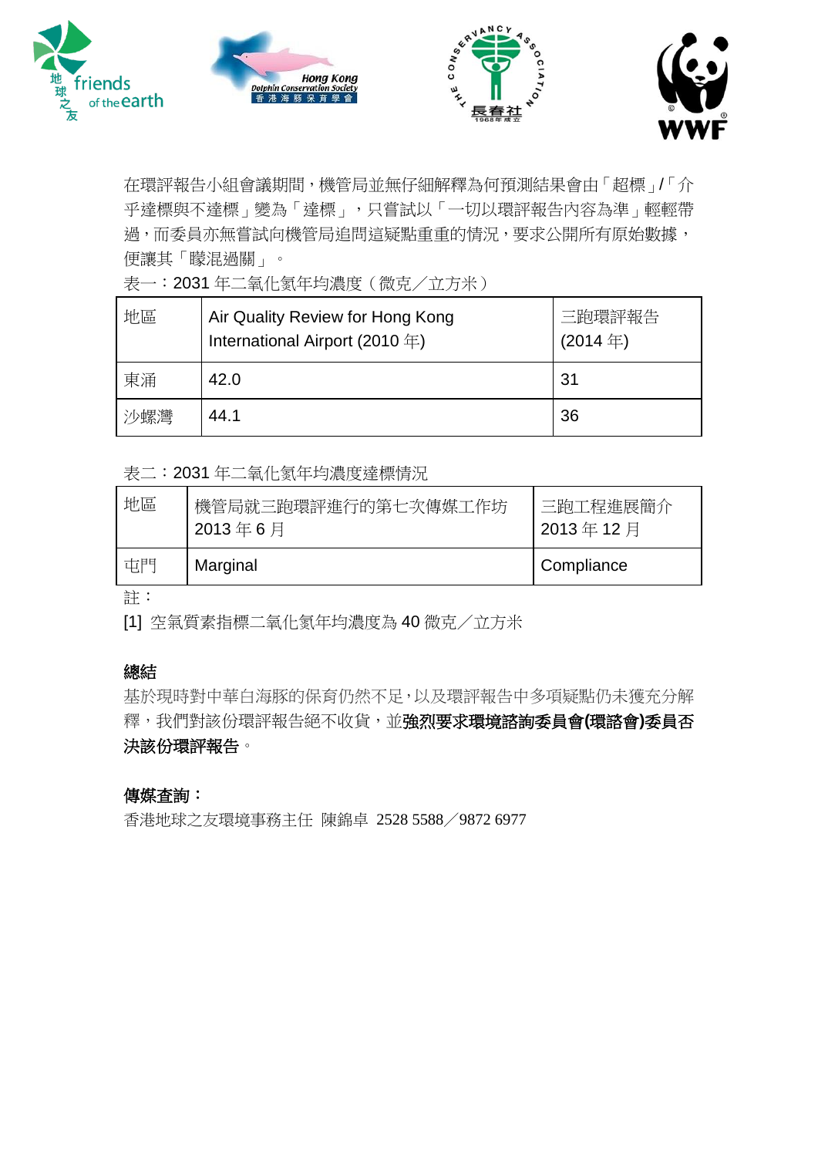







在環評報告小組會議期間,機管局並無仔細解釋為何預測結果會由「超標」/「介 乎達標與不達標」變為「達標」,只嘗試以「一切以環評報告內容為準」輕輕帶 過,而委員亦無嘗試向機管局追問這疑點重重的情況,要求公開所有原始數據, 便讓其「矇混過關」。

表一:2031年二氧化氮年均濃度(微克/立方米)

| 地區  | Air Quality Review for Hong Kong<br>International Airport (2010年) | 三跑環評報告<br>$(2014 \text{ H})$ |
|-----|-------------------------------------------------------------------|------------------------------|
| 東涌  | 42.0                                                              | 31                           |
| 沙螺灣 | 44.1                                                              | 36                           |

表二︰2031 年二氧化氮年均濃度達標情況

| 地區            | 機管局就三跑環評進行的第七次傳媒工作坊<br>2013年6月 | 三跑工程進展簡介<br>2013年12月 |
|---------------|--------------------------------|----------------------|
| 屯門            | Marginal                       | Compliance           |
| $\mathcal{N}$ |                                |                      |

註︰

[1] 空氣質素指標二氧化氮年均濃度為 40 微克/立方米

# 總結

基於現時對中華白海豚的保育仍然不足,以及環評報告中多項疑點仍未獲充分解 釋,我們對該份環評報告絕不收貨,並強烈要求環境諮詢委員會**(**環諮會**)**委員否 決該份環評報告。

# 傳媒查詢:

香港地球之友環境事務主任 陳錦卓 2528 5588/9872 6977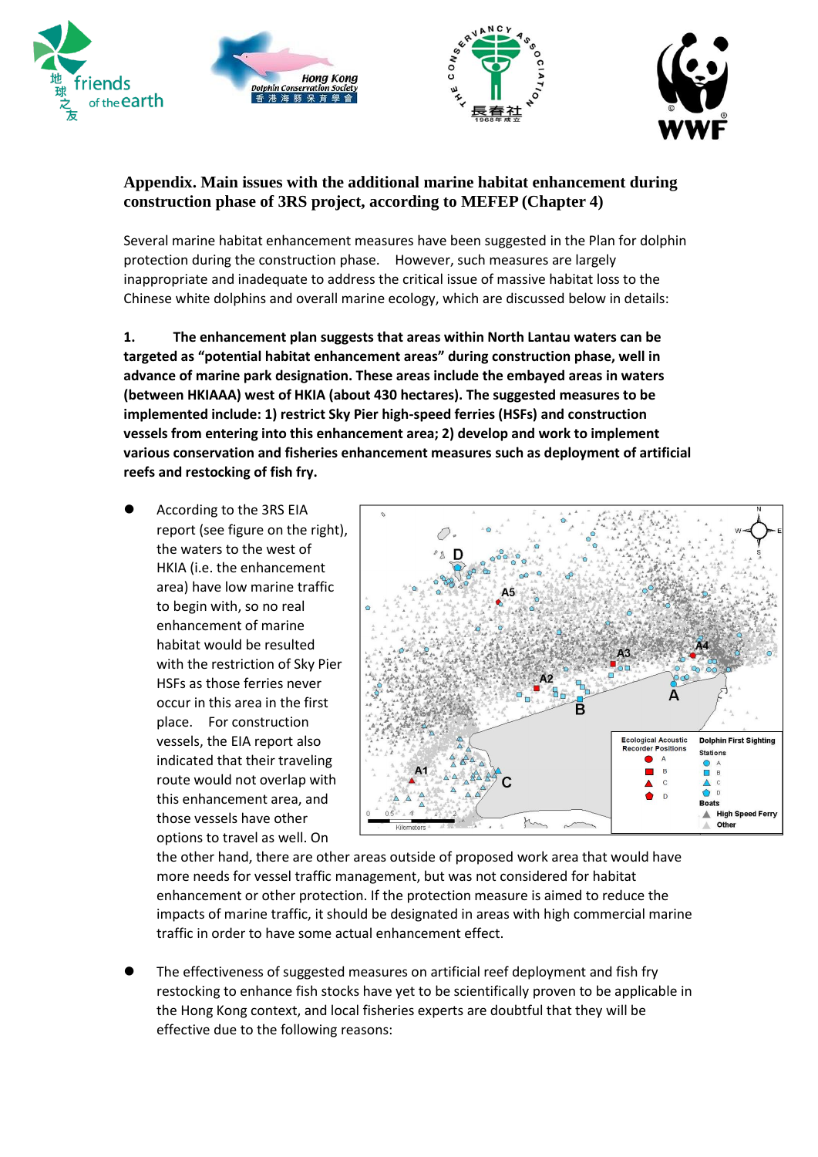







### **Appendix. Main issues with the additional marine habitat enhancement during construction phase of 3RS project, according to MEFEP (Chapter 4)**

Several marine habitat enhancement measures have been suggested in the Plan for dolphin protection during the construction phase. However, such measures are largely inappropriate and inadequate to address the critical issue of massive habitat loss to the Chinese white dolphins and overall marine ecology, which are discussed below in details:

**1. The enhancement plan suggests that areas within North Lantau waters can be targeted as "potential habitat enhancement areas" during construction phase, well in advance of marine park designation. These areas include the embayed areas in waters (between HKIAAA) west of HKIA (about 430 hectares). The suggested measures to be implemented include: 1) restrict Sky Pier high-speed ferries (HSFs) and construction vessels from entering into this enhancement area; 2) develop and work to implement various conservation and fisheries enhancement measures such as deployment of artificial reefs and restocking of fish fry.**

 According to the 3RS EIA report (see figure on the right), the waters to the west of HKIA (i.e. the enhancement area) have low marine traffic to begin with, so no real enhancement of marine habitat would be resulted with the restriction of Sky Pier HSFs as those ferries never occur in this area in the first place. For construction vessels, the EIA report also indicated that their traveling route would not overlap with this enhancement area, and those vessels have other options to travel as well. On



the other hand, there are other areas outside of proposed work area that would have more needs for vessel traffic management, but was not considered for habitat enhancement or other protection. If the protection measure is aimed to reduce the impacts of marine traffic, it should be designated in areas with high commercial marine traffic in order to have some actual enhancement effect.

 The effectiveness of suggested measures on artificial reef deployment and fish fry restocking to enhance fish stocks have yet to be scientifically proven to be applicable in the Hong Kong context, and local fisheries experts are doubtful that they will be effective due to the following reasons: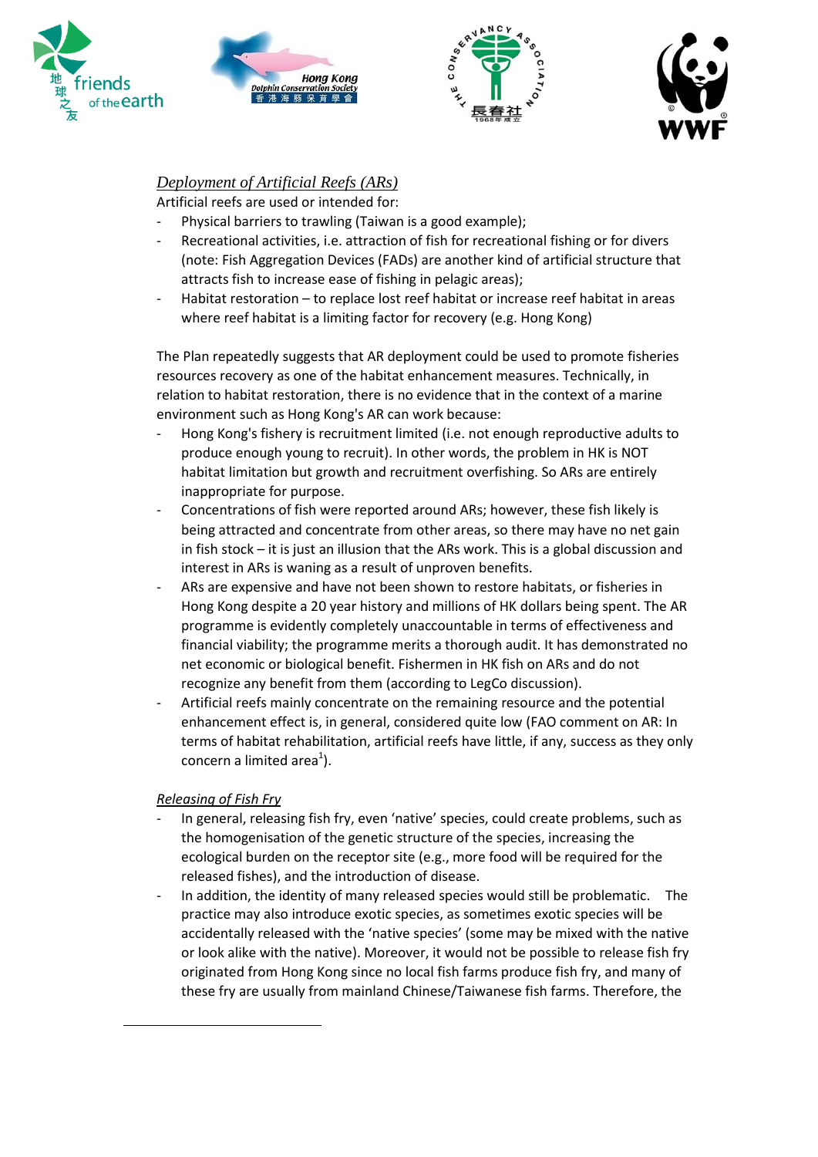







### *Deployment of Artificial Reefs (ARs)*

Artificial reefs are used or intended for:

- Physical barriers to trawling (Taiwan is a good example);
- Recreational activities, i.e. attraction of fish for recreational fishing or for divers (note: Fish Aggregation Devices (FADs) are another kind of artificial structure that attracts fish to increase ease of fishing in pelagic areas);
- Habitat restoration to replace lost reef habitat or increase reef habitat in areas where reef habitat is a limiting factor for recovery (e.g. Hong Kong)

The Plan repeatedly suggests that AR deployment could be used to promote fisheries resources recovery as one of the habitat enhancement measures. Technically, in relation to habitat restoration, there is no evidence that in the context of a marine environment such as Hong Kong's AR can work because:

- Hong Kong's fishery is recruitment limited (i.e. not enough reproductive adults to produce enough young to recruit). In other words, the problem in HK is NOT habitat limitation but growth and recruitment overfishing. So ARs are entirely inappropriate for purpose.
- Concentrations of fish were reported around ARs; however, these fish likely is being attracted and concentrate from other areas, so there may have no net gain in fish stock – it is just an illusion that the ARs work. This is a global discussion and interest in ARs is waning as a result of unproven benefits.
- ARs are expensive and have not been shown to restore habitats, or fisheries in Hong Kong despite a 20 year history and millions of HK dollars being spent. The AR programme is evidently completely unaccountable in terms of effectiveness and financial viability; the programme merits a thorough audit. It has demonstrated no net economic or biological benefit. Fishermen in HK fish on ARs and do not recognize any benefit from them (according to LegCo discussion).
- Artificial reefs mainly concentrate on the remaining resource and the potential enhancement effect is, in general, considered quite low (FAO comment on AR: In terms of habitat rehabilitation, artificial reefs have little, if any, success as they only concern a limited area $^1$ ).

#### *Releasing of Fish Fry*

1

- In general, releasing fish fry, even 'native' species, could create problems, such as the homogenisation of the genetic structure of the species, increasing the ecological burden on the receptor site (e.g., more food will be required for the released fishes), and the introduction of disease.
- In addition, the identity of many released species would still be problematic. The practice may also introduce exotic species, as sometimes exotic species will be accidentally released with the 'native species' (some may be mixed with the native or look alike with the native). Moreover, it would not be possible to release fish fry originated from Hong Kong since no local fish farms produce fish fry, and many of these fry are usually from mainland Chinese/Taiwanese fish farms. Therefore, the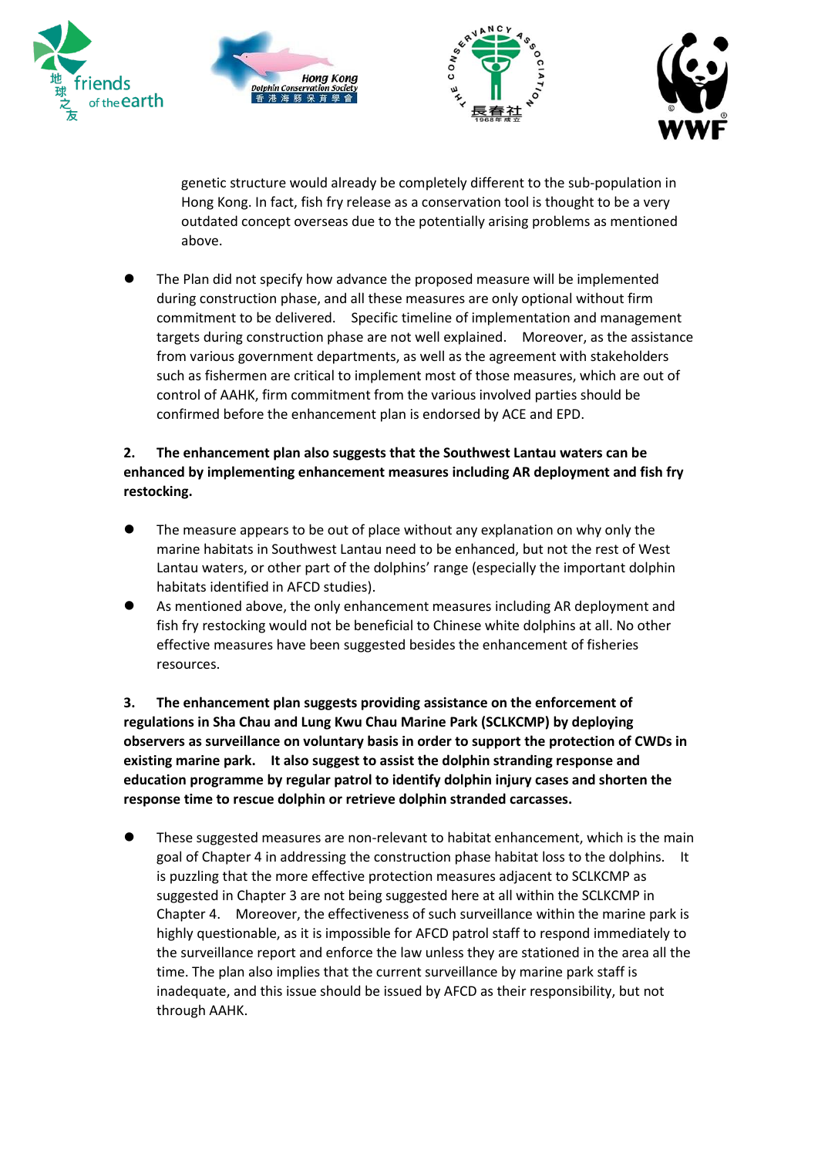







genetic structure would already be completely different to the sub-population in Hong Kong. In fact, fish fry release as a conservation tool is thought to be a very outdated concept overseas due to the potentially arising problems as mentioned above.

 The Plan did not specify how advance the proposed measure will be implemented during construction phase, and all these measures are only optional without firm commitment to be delivered. Specific timeline of implementation and management targets during construction phase are not well explained. Moreover, as the assistance from various government departments, as well as the agreement with stakeholders such as fishermen are critical to implement most of those measures, which are out of control of AAHK, firm commitment from the various involved parties should be confirmed before the enhancement plan is endorsed by ACE and EPD.

#### **2. The enhancement plan also suggests that the Southwest Lantau waters can be enhanced by implementing enhancement measures including AR deployment and fish fry restocking.**

- The measure appears to be out of place without any explanation on why only the marine habitats in Southwest Lantau need to be enhanced, but not the rest of West Lantau waters, or other part of the dolphins' range (especially the important dolphin habitats identified in AFCD studies).
- As mentioned above, the only enhancement measures including AR deployment and fish fry restocking would not be beneficial to Chinese white dolphins at all. No other effective measures have been suggested besides the enhancement of fisheries resources.

**3. The enhancement plan suggests providing assistance on the enforcement of regulations in Sha Chau and Lung Kwu Chau Marine Park (SCLKCMP) by deploying observers as surveillance on voluntary basis in order to support the protection of CWDs in existing marine park. It also suggest to assist the dolphin stranding response and education programme by regular patrol to identify dolphin injury cases and shorten the response time to rescue dolphin or retrieve dolphin stranded carcasses.**

 These suggested measures are non-relevant to habitat enhancement, which is the main goal of Chapter 4 in addressing the construction phase habitat loss to the dolphins. It is puzzling that the more effective protection measures adjacent to SCLKCMP as suggested in Chapter 3 are not being suggested here at all within the SCLKCMP in Chapter 4. Moreover, the effectiveness of such surveillance within the marine park is highly questionable, as it is impossible for AFCD patrol staff to respond immediately to the surveillance report and enforce the law unless they are stationed in the area all the time. The plan also implies that the current surveillance by marine park staff is inadequate, and this issue should be issued by AFCD as their responsibility, but not through AAHK.